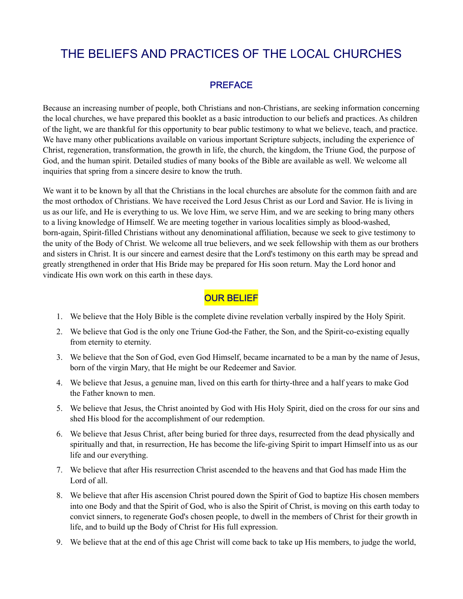# THE BELIEFS AND PRACTICES OF THE LOCAL CHURCHES

### **PREFACE**

Because an increasing number of people, both Christians and non-Christians, are seeking information concerning the local churches, we have prepared this booklet as a basic introduction to our beliefs and practices. As children of the light, we are thankful for this opportunity to bear public testimony to what we believe, teach, and practice. We have many other publications available on various important Scripture subjects, including the experience of Christ, regeneration, transformation, the growth in life, the church, the kingdom, the Triune God, the purpose of God, and the human spirit. Detailed studies of many books of the Bible are available as well. We welcome all inquiries that spring from a sincere desire to know the truth.

We want it to be known by all that the Christians in the local churches are absolute for the common faith and are the most orthodox of Christians. We have received the Lord Jesus Christ as our Lord and Savior. He is living in us as our life, and He is everything to us. We love Him, we serve Him, and we are seeking to bring many others to a living knowledge of Himself. We are meeting together in various localities simply as blood-washed, born-again, Spirit-filled Christians without any denominational affiliation, because we seek to give testimony to the unity of the Body of Christ. We welcome all true believers, and we seek fellowship with them as our brothers and sisters in Christ. It is our sincere and earnest desire that the Lord's testimony on this earth may be spread and greatly strengthened in order that His Bride may be prepared for His soon return. May the Lord honor and vindicate His own work on this earth in these days.

# OUR BELIEF

- 1. We believe that the Holy Bible is the complete divine revelation verbally inspired by the Holy Spirit.
- 2. We believe that God is the only one Triune God-the Father, the Son, and the Spirit-co-existing equally from eternity to eternity.
- 3. We believe that the Son of God, even God Himself, became incarnated to be a man by the name of Jesus, born of the virgin Mary, that He might be our Redeemer and Savior.
- 4. We believe that Jesus, a genuine man, lived on this earth for thirty-three and a half years to make God the Father known to men.
- 5. We believe that Jesus, the Christ anointed by God with His Holy Spirit, died on the cross for our sins and shed His blood for the accomplishment of our redemption.
- 6. We believe that Jesus Christ, after being buried for three days, resurrected from the dead physically and spiritually and that, in resurrection, He has become the life-giving Spirit to impart Himself into us as our life and our everything.
- 7. We believe that after His resurrection Christ ascended to the heavens and that God has made Him the Lord of all.
- 8. We believe that after His ascension Christ poured down the Spirit of God to baptize His chosen members into one Body and that the Spirit of God, who is also the Spirit of Christ, is moving on this earth today to convict sinners, to regenerate God's chosen people, to dwell in the members of Christ for their growth in life, and to build up the Body of Christ for His full expression.
- 9. We believe that at the end of this age Christ will come back to take up His members, to judge the world,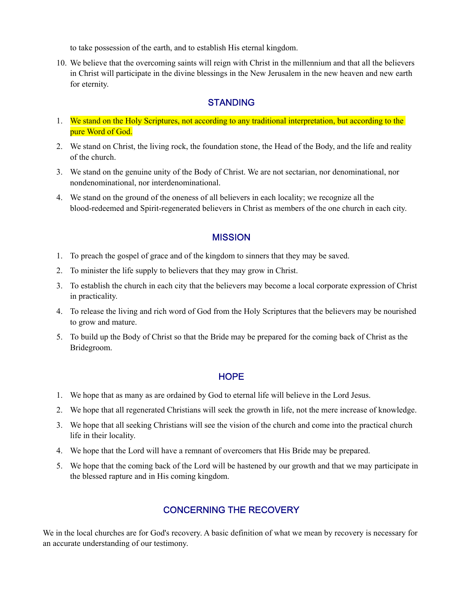to take possession of the earth, and to establish His eternal kingdom.

10. We believe that the overcoming saints will reign with Christ in the millennium and that all the believers in Christ will participate in the divine blessings in the New Jerusalem in the new heaven and new earth for eternity.

# **STANDING**

- 1. We stand on the Holy Scriptures, not according to any traditional interpretation, but according to the pure Word of God.
- 2. We stand on Christ, the living rock, the foundation stone, the Head of the Body, and the life and reality of the church.
- 3. We stand on the genuine unity of the Body of Christ. We are not sectarian, nor denominational, nor nondenominational, nor interdenominational.
- 4. We stand on the ground of the oneness of all believers in each locality; we recognize all the blood-redeemed and Spirit-regenerated believers in Christ as members of the one church in each city.

### **MISSION**

- 1. To preach the gospel of grace and of the kingdom to sinners that they may be saved.
- 2. To minister the life supply to believers that they may grow in Christ.
- 3. To establish the church in each city that the believers may become a local corporate expression of Christ in practicality.
- 4. To release the living and rich word of God from the Holy Scriptures that the believers may be nourished to grow and mature.
- 5. To build up the Body of Christ so that the Bride may be prepared for the coming back of Christ as the Bridegroom.

### **HOPE**

- 1. We hope that as many as are ordained by God to eternal life will believe in the Lord Jesus.
- 2. We hope that all regenerated Christians will seek the growth in life, not the mere increase of knowledge.
- 3. We hope that all seeking Christians will see the vision of the church and come into the practical church life in their locality.
- 4. We hope that the Lord will have a remnant of overcomers that His Bride may be prepared.
- 5. We hope that the coming back of the Lord will be hastened by our growth and that we may participate in the blessed rapture and in His coming kingdom.

# CONCERNING THE RECOVERY

We in the local churches are for God's recovery. A basic definition of what we mean by recovery is necessary for an accurate understanding of our testimony.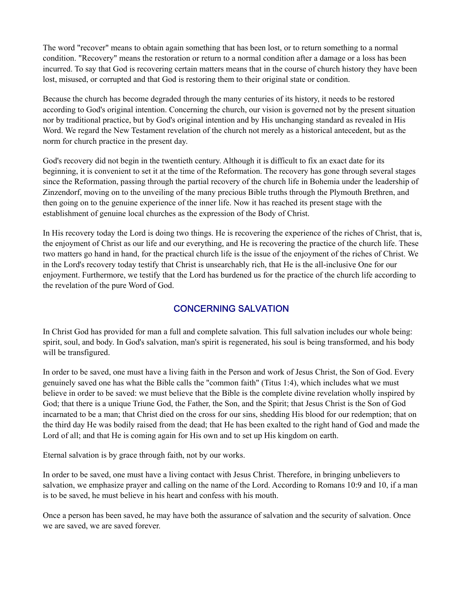The word "recover" means to obtain again something that has been lost, or to return something to a normal condition. "Recovery" means the restoration or return to a normal condition after a damage or a loss has been incurred. To say that God is recovering certain matters means that in the course of church history they have been lost, misused, or corrupted and that God is restoring them to their original state or condition.

Because the church has become degraded through the many centuries of its history, it needs to be restored according to God's original intention. Concerning the church, our vision is governed not by the present situation nor by traditional practice, but by God's original intention and by His unchanging standard as revealed in His Word. We regard the New Testament revelation of the church not merely as a historical antecedent, but as the norm for church practice in the present day.

God's recovery did not begin in the twentieth century. Although it is difficult to fix an exact date for its beginning, it is convenient to set it at the time of the Reformation. The recovery has gone through several stages since the Reformation, passing through the partial recovery of the church life in Bohemia under the leadership of Zinzendorf, moving on to the unveiling of the many precious Bible truths through the Plymouth Brethren, and then going on to the genuine experience of the inner life. Now it has reached its present stage with the establishment of genuine local churches as the expression of the Body of Christ.

In His recovery today the Lord is doing two things. He is recovering the experience of the riches of Christ, that is, the enjoyment of Christ as our life and our everything, and He is recovering the practice of the church life. These two matters go hand in hand, for the practical church life is the issue of the enjoyment of the riches of Christ. We in the Lord's recovery today testify that Christ is unsearchably rich, that He is the all-inclusive One for our enjoyment. Furthermore, we testify that the Lord has burdened us for the practice of the church life according to the revelation of the pure Word of God.

# CONCERNING SALVATION

In Christ God has provided for man a full and complete salvation. This full salvation includes our whole being: spirit, soul, and body. In God's salvation, man's spirit is regenerated, his soul is being transformed, and his body will be transfigured.

In order to be saved, one must have a living faith in the Person and work of Jesus Christ, the Son of God. Every genuinely saved one has what the Bible calls the "common faith" (Titus 1:4), which includes what we must believe in order to be saved: we must believe that the Bible is the complete divine revelation wholly inspired by God; that there is a unique Triune God, the Father, the Son, and the Spirit; that Jesus Christ is the Son of God incarnated to be a man; that Christ died on the cross for our sins, shedding His blood for our redemption; that on the third day He was bodily raised from the dead; that He has been exalted to the right hand of God and made the Lord of all; and that He is coming again for His own and to set up His kingdom on earth.

Eternal salvation is by grace through faith, not by our works.

In order to be saved, one must have a living contact with Jesus Christ. Therefore, in bringing unbelievers to salvation, we emphasize prayer and calling on the name of the Lord. According to Romans 10:9 and 10, if a man is to be saved, he must believe in his heart and confess with his mouth.

Once a person has been saved, he may have both the assurance of salvation and the security of salvation. Once we are saved, we are saved forever.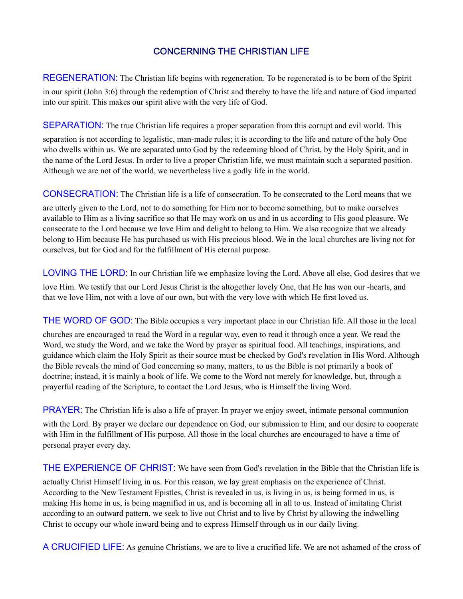# CONCERNING THE CHRISTIAN LIFE

REGENERATION: The Christian life begins with regeneration. To be regenerated is to be born of the Spirit in our spirit (John 3:6) through the redemption of Christ and thereby to have the life and nature of God imparted into our spirit. This makes our spirit alive with the very life of God.

SEPARATION: The true Christian life requires a proper separation from this corrupt and evil world. This

separation is not according to legalistic, man-made rules; it is according to the life and nature of the holy One who dwells within us. We are separated unto God by the redeeming blood of Christ, by the Holy Spirit, and in the name of the Lord Jesus. In order to live a proper Christian life, we must maintain such a separated position. Although we are not of the world, we nevertheless live a godly life in the world.

CONSECRATION: The Christian life is a life of consecration. To be consecrated to the Lord means that we

are utterly given to the Lord, not to do something for Him nor to become something, but to make ourselves available to Him as a living sacrifice so that He may work on us and in us according to His good pleasure. We consecrate to the Lord because we love Him and delight to belong to Him. We also recognize that we already belong to Him because He has purchased us with His precious blood. We in the local churches are living not for ourselves, but for God and for the fulfillment of His eternal purpose.

LOVING THE LORD: In our Christian life we emphasize loving the Lord. Above all else, God desires that we love Him. We testify that our Lord Jesus Christ is the altogether lovely One, that He has won our -hearts, and that we love Him, not with a love of our own, but with the very love with which He first loved us.

THE WORD OF GOD: The Bible occupies a very important place in our Christian life. All those in the local

churches are encouraged to read the Word in a regular way, even to read it through once a year. We read the Word, we study the Word, and we take the Word by prayer as spiritual food. All teachings, inspirations, and guidance which claim the Holy Spirit as their source must be checked by God's revelation in His Word. Although the Bible reveals the mind of God concerning so many, matters, to us the Bible is not primarily a book of doctrine; instead, it is mainly a book of life. We come to the Word not merely for knowledge, but, through a prayerful reading of the Scripture, to contact the Lord Jesus, who is Himself the living Word.

PRAYER: The Christian life is also a life of prayer. In prayer we enjoy sweet, intimate personal communion

with the Lord. By prayer we declare our dependence on God, our submission to Him, and our desire to cooperate with Him in the fulfillment of His purpose. All those in the local churches are encouraged to have a time of personal prayer every day.

THE EXPERIENCE OF CHRIST: We have seen from God's revelation in the Bible that the Christian life is

actually Christ Himself living in us. For this reason, we lay great emphasis on the experience of Christ. According to the New Testament Epistles, Christ is revealed in us, is living in us, is being formed in us, is making His home in us, is being magnified in us, and is becoming all in all to us. Instead of imitating Christ according to an outward pattern, we seek to live out Christ and to live by Christ by allowing the indwelling Christ to occupy our whole inward being and to express Himself through us in our daily living.

A CRUCIFIED LIFE: As genuine Christians, we are to live a crucified life. We are not ashamed of the cross of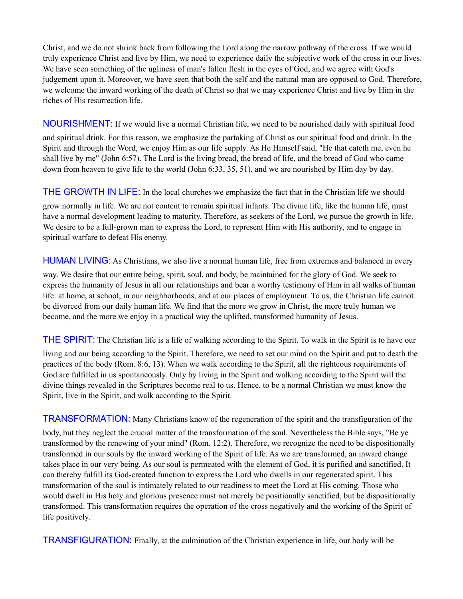Christ, and we do not shrink back from following the Lord along the narrow pathway of the cross. If we would truly experience Christ and live by Him, we need to experience daily the subjective work of the cross in our lives. We have seen something of the ugliness of man's fallen flesh in the eyes of God, and we agree with God's judgement upon it. Moreover, we have seen that both the self and the natural man are opposed to God. Therefore, we welcome the inward working of the death of Christ so that we may experience Christ and live by Him in the riches of His resurrection life.

NOURISHMENT: If we would live a normal Christian life, we need to be nourished daily with spiritual food

and spiritual drink. For this reason, we emphasize the partaking of Christ as our spiritual food and drink. In the Spirit and through the Word, we enjoy Him as our life supply. As He Himself said, "He that eateth me, even he shall live by me" (John 6:57). The Lord is the living bread, the bread of life, and the bread of God who came down from heaven to give life to the world (John 6:33, 35, 51), and we are nourished by Him day by day.

THE GROWTH IN LIFE: In the local churches we emphasize the fact that in the Christian life we should

grow normally in life. We are not content to remain spiritual infants. The divine life, like the human life, must have a normal development leading to maturity. Therefore, as seekers of the Lord, we pursue the growth in life. We desire to be a full-grown man to express the Lord, to represent Him with His authority, and to engage in spiritual warfare to defeat His enemy.

HUMAN LIVING: As Christians, we also live a normal human life, free from extremes and balanced in every

way. We desire that our entire being, spirit, soul, and body, be maintained for the glory of God. We seek to express the humanity of Jesus in all our relationships and bear a worthy testimony of Him in all walks of human life: at home, at school, in our neighborhoods, and at our places of employment. To us, the Christian life cannot be divorced from our daily human life. We find that the more we grow in Christ, the more truly human we become, and the more we enjoy in a practical way the uplifted, transformed humanity of Jesus.

THE SPIRIT: The Christian life is a life of walking according to the Spirit. To walk in the Spirit is to have our

living and our being according to the Spirit. Therefore, we need to set our mind on the Spirit and put to death the practices of the body (Rom. 8:6, 13). When we walk according to the Spirit, all the righteous requirements of God are fulfilled in us spontaneously. Only by living in the Spirit and walking according to the Spirit will the divine things revealed in the Scriptures become real to us. Hence, to be a normal Christian we must know the Spirit, live in the Spirit, and walk according to the Spirit.

TRANSFORMATION: Many Christians know of the regeneration of the spirit and the transfiguration of the

body, but they neglect the crucial matter of the transformation of the soul. Nevertheless the Bible says, "Be ye transformed by the renewing of your mind" (Rom. 12:2). Therefore, we recognize the need to be dispositionally transformed in our souls by the inward working of the Spirit of life. As we are transformed, an inward change takes place in our very being. As our soul is permeated with the element of God, it is purified and sanctified. It can thereby fulfill its God-created function to express the Lord who dwells in our regenerated spirit. This transformation of the soul is intimately related to our readiness to meet the Lord at His coming. Those who would dwell in His holy and glorious presence must not merely be positionally sanctified, but be dispositionally transformed. This transformation requires the operation of the cross negatively and the working of the Spirit of life positively.

TRANSFIGURATION: Finally, at the culmination of the Christian experience in life, our body will be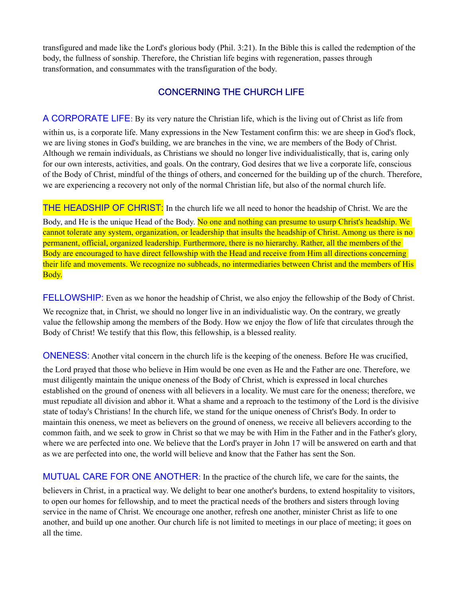transfigured and made like the Lord's glorious body (Phil. 3:21). In the Bible this is called the redemption of the body, the fullness of sonship. Therefore, the Christian life begins with regeneration, passes through transformation, and consummates with the transfiguration of the body.

### CONCERNING THE CHURCH LIFE

A CORPORATE LIFE: By its very nature the Christian life, which is the living out of Christ as life from

within us, is a corporate life. Many expressions in the New Testament confirm this: we are sheep in God's flock, we are living stones in God's building, we are branches in the vine, we are members of the Body of Christ. Although we remain individuals, as Christians we should no longer live individualistically, that is, caring only for our own interests, activities, and goals. On the contrary, God desires that we live a corporate life, conscious of the Body of Christ, mindful of the things of others, and concerned for the building up of the church. Therefore, we are experiencing a recovery not only of the normal Christian life, but also of the normal church life.

THE HEADSHIP OF CHRIST: In the church life we all need to honor the headship of Christ. We are the

Body, and He is the unique Head of the Body. No one and nothing can presume to usurp Christ's headship. We cannot tolerate any system, organization, or leadership that insults the headship of Christ. Among us there is no permanent, official, organized leadership. Furthermore, there is no hierarchy. Rather, all the members of the Body are encouraged to have direct fellowship with the Head and receive from Him all directions concerning their life and movements. We recognize no subheads, no intermediaries between Christ and the members of His Body.

FELLOWSHIP: Even as we honor the headship of Christ, we also enjoy the fellowship of the Body of Christ.

We recognize that, in Christ, we should no longer live in an individualistic way. On the contrary, we greatly value the fellowship among the members of the Body. How we enjoy the flow of life that circulates through the Body of Christ! We testify that this flow, this fellowship, is a blessed reality.

ONENESS: Another vital concern in the church life is the keeping of the oneness. Before He was crucified,

the Lord prayed that those who believe in Him would be one even as He and the Father are one. Therefore, we must diligently maintain the unique oneness of the Body of Christ, which is expressed in local churches established on the ground of oneness with all believers in a locality. We must care for the oneness; therefore, we must repudiate all division and abhor it. What a shame and a reproach to the testimony of the Lord is the divisive state of today's Christians! In the church life, we stand for the unique oneness of Christ's Body. In order to maintain this oneness, we meet as believers on the ground of oneness, we receive all believers according to the common faith, and we seek to grow in Christ so that we may be with Him in the Father and in the Father's glory, where we are perfected into one. We believe that the Lord's prayer in John 17 will be answered on earth and that as we are perfected into one, the world will believe and know that the Father has sent the Son.

MUTUAL CARE FOR ONE ANOTHER: In the practice of the church life, we care for the saints, the

believers in Christ, in a practical way. We delight to bear one another's burdens, to extend hospitality to visitors, to open our homes for fellowship, and to meet the practical needs of the brothers and sisters through loving service in the name of Christ. We encourage one another, refresh one another, minister Christ as life to one another, and build up one another. Our church life is not limited to meetings in our place of meeting; it goes on all the time.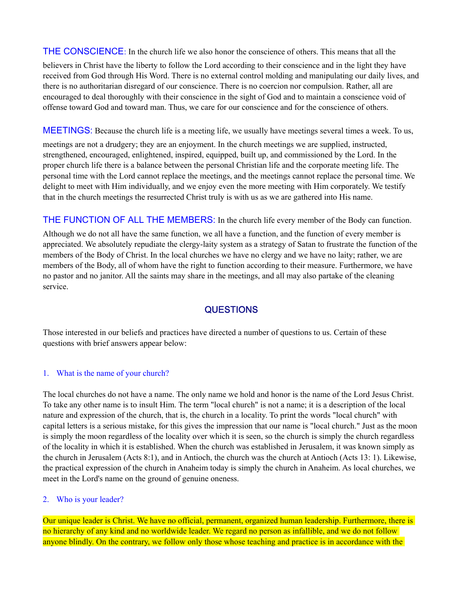THE CONSCIENCE: In the church life we also honor the conscience of others. This means that all the

believers in Christ have the liberty to follow the Lord according to their conscience and in the light they have received from God through His Word. There is no external control molding and manipulating our daily lives, and there is no authoritarian disregard of our conscience. There is no coercion nor compulsion. Rather, all are encouraged to deal thoroughly with their conscience in the sight of God and to maintain a conscience void of offense toward God and toward man. Thus, we care for our conscience and for the conscience of others.

MEETINGS: Because the church life is a meeting life, we usually have meetings several times a week. To us,

meetings are not a drudgery; they are an enjoyment. In the church meetings we are supplied, instructed, strengthened, encouraged, enlightened, inspired, equipped, built up, and commissioned by the Lord. In the proper church life there is a balance between the personal Christian life and the corporate meeting life. The personal time with the Lord cannot replace the meetings, and the meetings cannot replace the personal time. We delight to meet with Him individually, and we enjoy even the more meeting with Him corporately. We testify that in the church meetings the resurrected Christ truly is with us as we are gathered into His name.

THE FUNCTION OF ALL THE MEMBERS: In the church life every member of the Body can function.

Although we do not all have the same function, we all have a function, and the function of every member is appreciated. We absolutely repudiate the clergy-laity system as a strategy of Satan to frustrate the function of the members of the Body of Christ. In the local churches we have no clergy and we have no laity; rather, we are members of the Body, all of whom have the right to function according to their measure. Furthermore, we have no pastor and no janitor. All the saints may share in the meetings, and all may also partake of the cleaning service.

# **QUESTIONS**

Those interested in our beliefs and practices have directed a number of questions to us. Certain of these questions with brief answers appear below:

#### 1. What is the name of your church?

The local churches do not have a name. The only name we hold and honor is the name of the Lord Jesus Christ. To take any other name is to insult Him. The term "local church" is not a name; it is a description of the local nature and expression of the church, that is, the church in a locality. To print the words "local church" with capital letters is a serious mistake, for this gives the impression that our name is "local church." Just as the moon is simply the moon regardless of the locality over which it is seen, so the church is simply the church regardless of the locality in which it is established. When the church was established in Jerusalem, it was known simply as the church in Jerusalem (Acts 8:1), and in Antioch, the church was the church at Antioch (Acts 13: 1). Likewise, the practical expression of the church in Anaheim today is simply the church in Anaheim. As local churches, we meet in the Lord's name on the ground of genuine oneness.

#### 2. Who is your leader?

Our unique leader is Christ. We have no official, permanent, organized human leadership. Furthermore, there is no hierarchy of any kind and no worldwide leader. We regard no person as infallible, and we do not follow anyone blindly. On the contrary, we follow only those whose teaching and practice is in accordance with the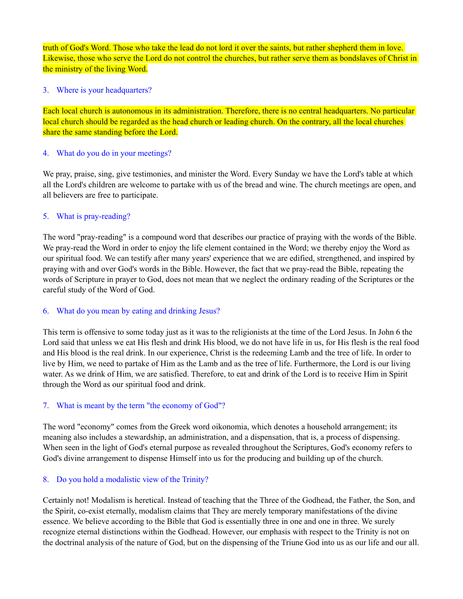truth of God's Word. Those who take the lead do not lord it over the saints, but rather shepherd them in love. Likewise, those who serve the Lord do not control the churches, but rather serve them as bondslaves of Christ in the ministry of the living Word.

3. Where is your headquarters?

Each local church is autonomous in its administration. Therefore, there is no central headquarters. No particular local church should be regarded as the head church or leading church. On the contrary, all the local churches share the same standing before the Lord.

#### 4. What do you do in your meetings?

We pray, praise, sing, give testimonies, and minister the Word. Every Sunday we have the Lord's table at which all the Lord's children are welcome to partake with us of the bread and wine. The church meetings are open, and all believers are free to participate.

#### 5. What is pray-reading?

The word "pray-reading" is a compound word that describes our practice of praying with the words of the Bible. We pray-read the Word in order to enjoy the life element contained in the Word; we thereby enjoy the Word as our spiritual food. We can testify after many years' experience that we are edified, strengthened, and inspired by praying with and over God's words in the Bible. However, the fact that we pray-read the Bible, repeating the words of Scripture in prayer to God, does not mean that we neglect the ordinary reading of the Scriptures or the careful study of the Word of God.

#### 6. What do you mean by eating and drinking Jesus?

This term is offensive to some today just as it was to the religionists at the time of the Lord Jesus. In John 6 the Lord said that unless we eat His flesh and drink His blood, we do not have life in us, for His flesh is the real food and His blood is the real drink. In our experience, Christ is the redeeming Lamb and the tree of life. In order to live by Him, we need to partake of Him as the Lamb and as the tree of life. Furthermore, the Lord is our living water. As we drink of Him, we are satisfied. Therefore, to eat and drink of the Lord is to receive Him in Spirit through the Word as our spiritual food and drink.

#### 7. What is meant by the term "the economy of God"?

The word "economy" comes from the Greek word oikonomia, which denotes a household arrangement; its meaning also includes a stewardship, an administration, and a dispensation, that is, a process of dispensing. When seen in the light of God's eternal purpose as revealed throughout the Scriptures, God's economy refers to God's divine arrangement to dispense Himself into us for the producing and building up of the church.

#### 8. Do you hold a modalistic view of the Trinity?

Certainly not! Modalism is heretical. Instead of teaching that the Three of the Godhead, the Father, the Son, and the Spirit, co-exist eternally, modalism claims that They are merely temporary manifestations of the divine essence. We believe according to the Bible that God is essentially three in one and one in three. We surely recognize eternal distinctions within the Godhead. However, our emphasis with respect to the Trinity is not on the doctrinal analysis of the nature of God, but on the dispensing of the Triune God into us as our life and our all.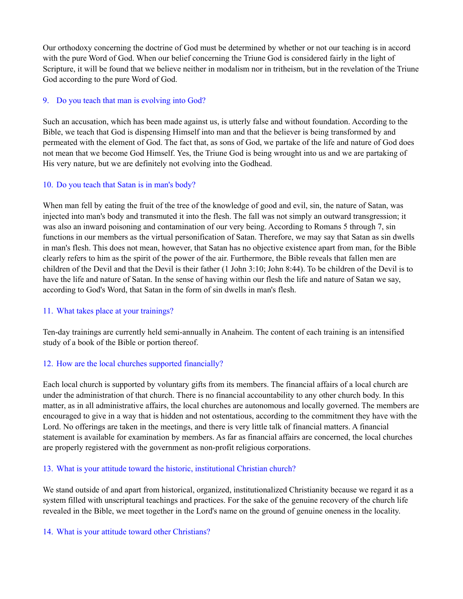Our orthodoxy concerning the doctrine of God must be determined by whether or not our teaching is in accord with the pure Word of God. When our belief concerning the Triune God is considered fairly in the light of Scripture, it will be found that we believe neither in modalism nor in tritheism, but in the revelation of the Triune God according to the pure Word of God.

#### 9. Do you teach that man is evolving into God?

Such an accusation, which has been made against us, is utterly false and without foundation. According to the Bible, we teach that God is dispensing Himself into man and that the believer is being transformed by and permeated with the element of God. The fact that, as sons of God, we partake of the life and nature of God does not mean that we become God Himself. Yes, the Triune God is being wrought into us and we are partaking of His very nature, but we are definitely not evolving into the Godhead.

#### 10. Do you teach that Satan is in man's body?

When man fell by eating the fruit of the tree of the knowledge of good and evil, sin, the nature of Satan, was injected into man's body and transmuted it into the flesh. The fall was not simply an outward transgression; it was also an inward poisoning and contamination of our very being. According to Romans 5 through 7, sin functions in our members as the virtual personification of Satan. Therefore, we may say that Satan as sin dwells in man's flesh. This does not mean, however, that Satan has no objective existence apart from man, for the Bible clearly refers to him as the spirit of the power of the air. Furthermore, the Bible reveals that fallen men are children of the Devil and that the Devil is their father (1 John 3:10; John 8:44). To be children of the Devil is to have the life and nature of Satan. In the sense of having within our flesh the life and nature of Satan we say, according to God's Word, that Satan in the form of sin dwells in man's flesh.

#### 11. What takes place at your trainings?

Ten-day trainings are currently held semi-annually in Anaheim. The content of each training is an intensified study of a book of the Bible or portion thereof.

#### 12. How are the local churches supported financially?

Each local church is supported by voluntary gifts from its members. The financial affairs of a local church are under the administration of that church. There is no financial accountability to any other church body. In this matter, as in all administrative affairs, the local churches are autonomous and locally governed. The members are encouraged to give in a way that is hidden and not ostentatious, according to the commitment they have with the Lord. No offerings are taken in the meetings, and there is very little talk of financial matters. A financial statement is available for examination by members. As far as financial affairs are concerned, the local churches are properly registered with the government as non-profit religious corporations.

#### 13. What is your attitude toward the historic, institutional Christian church?

We stand outside of and apart from historical, organized, institutionalized Christianity because we regard it as a system filled with unscriptural teachings and practices. For the sake of the genuine recovery of the church life revealed in the Bible, we meet together in the Lord's name on the ground of genuine oneness in the locality.

#### 14. What is your attitude toward other Christians?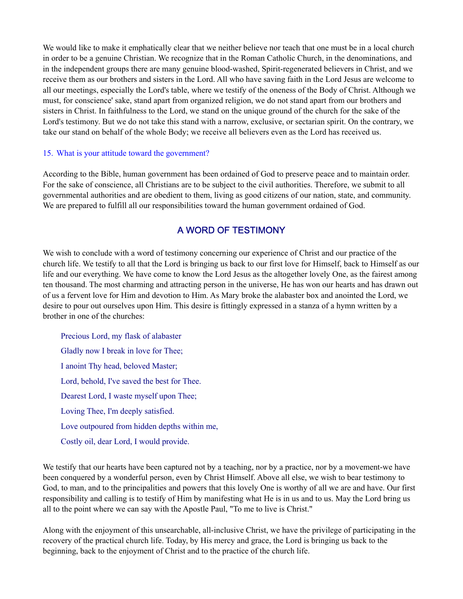We would like to make it emphatically clear that we neither believe nor teach that one must be in a local church in order to be a genuine Christian. We recognize that in the Roman Catholic Church, in the denominations, and in the independent groups there are many genuine blood-washed, Spirit-regenerated believers in Christ, and we receive them as our brothers and sisters in the Lord. All who have saving faith in the Lord Jesus are welcome to all our meetings, especially the Lord's table, where we testify of the oneness of the Body of Christ. Although we must, for conscience' sake, stand apart from organized religion, we do not stand apart from our brothers and sisters in Christ. In faithfulness to the Lord, we stand on the unique ground of the church for the sake of the Lord's testimony. But we do not take this stand with a narrow, exclusive, or sectarian spirit. On the contrary, we take our stand on behalf of the whole Body; we receive all believers even as the Lord has received us.

#### 15. What is your attitude toward the government?

According to the Bible, human government has been ordained of God to preserve peace and to maintain order. For the sake of conscience, all Christians are to be subject to the civil authorities. Therefore, we submit to all governmental authorities and are obedient to them, living as good citizens of our nation, state, and community. We are prepared to fulfill all our responsibilities toward the human government ordained of God.

### A WORD OF TESTIMONY

We wish to conclude with a word of testimony concerning our experience of Christ and our practice of the church life. We testify to all that the Lord is bringing us back to our first love for Himself, back to Himself as our life and our everything. We have come to know the Lord Jesus as the altogether lovely One, as the fairest among ten thousand. The most charming and attracting person in the universe, He has won our hearts and has drawn out of us a fervent love for Him and devotion to Him. As Mary broke the alabaster box and anointed the Lord, we desire to pour out ourselves upon Him. This desire is fittingly expressed in a stanza of a hymn written by a brother in one of the churches:

Precious Lord, my flask of alabaster Gladly now I break in love for Thee; I anoint Thy head, beloved Master; Lord, behold, I've saved the best for Thee. Dearest Lord, I waste myself upon Thee; Loving Thee, I'm deeply satisfied. Love outpoured from hidden depths within me, Costly oil, dear Lord, I would provide.

We testify that our hearts have been captured not by a teaching, nor by a practice, nor by a movement-we have been conquered by a wonderful person, even by Christ Himself. Above all else, we wish to bear testimony to God, to man, and to the principalities and powers that this lovely One is worthy of all we are and have. Our first responsibility and calling is to testify of Him by manifesting what He is in us and to us. May the Lord bring us all to the point where we can say with the Apostle Paul, "To me to live is Christ."

Along with the enjoyment of this unsearchable, all-inclusive Christ, we have the privilege of participating in the recovery of the practical church life. Today, by His mercy and grace, the Lord is bringing us back to the beginning, back to the enjoyment of Christ and to the practice of the church life.